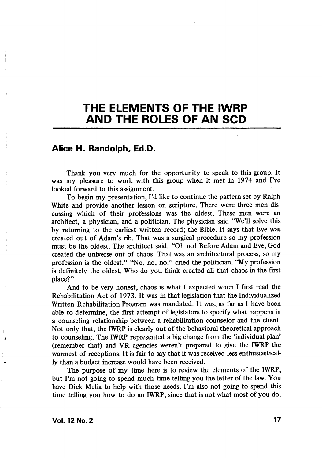## THE ELEMENTS OF THE IWRP AND THE ROLES OF AN BCD

## Alice H. Randolph, Ed.D.

Thank you very much for the opportunity to speak to this group. It was my pleasure to work with this group when it met in 1974 and I've looked forward to this assignment.

To begin my presentation, I'd like to continue the pattern set by Ralph White and provide another lesson on scripture. There were three men dis cussing which of their professions was the oldest. These men were an architect, a physician, and a politician. The physician said "We'll solve this by returning to the earliest written record; the Bible. It says that Eve was created out of Adam's rib. That was a surgical procedure so my profession must be the oldest. The architect said, "Oh no! Before Adam and Eve, God created the universe out of chaos. That was an architectural process, so my profession is the oldest." "No, no, no." cried the politician. "My profession is definitely the oldest. Who do you think created all that chaos in the first place?"

And to be very honest, chaos is what 1 expected when 1 first read the Rehabilitation Act of 1973. It was in that legislation that the Individualized Written Rehabilitation Program was mandated. It was, as far as 1 have been able to determine, the first attempt of legislators to specify what happens in a counseling relationship between a rehabilitation counselor and the client. Not only that, the IWRP is clearly out of the behavioral theoretical approach to counseling. The IWRP represented a big change from the 'individual plan' (remember that) and VR agencies weren't prepared to give the IWRP the warmest of receptions. It is fair to say that it was received less enthusiastical ly than a budget increase would have been received.

The purpose of my time here is to review the elements of the IWRP, but I'm not going to spend much time telling you the letter of the law. You have Dick Melia to help with those needs. I'm also not going to spend this time telling you how to do an IWRP, since that is not what most of you do.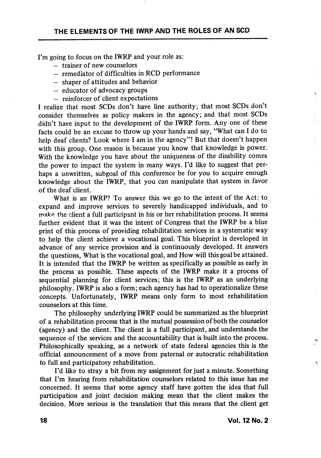I'm going to focus on the IWRP and your role as:

- trainer of new counselors
- remediator of difficulties in RCD performance
- shaper of attitudes and behavior
- educator of advocacy groups
- reinforcer of client expectations

I realize that most SCDs don't have line authority; that most SCDs don't consider themselves as policy makers in the agency; and that most SCDs didn't have input to the development of the IWRP form. Any one of these facts could be an excuse to throw up your hands and say, "What can I do to help deaf clients? Look where I am in the agency"! But that doesn't happen with this group. One reason is because you know that knowledge is power. With the knowledge you have about the uniqueness of the disability comes the power to impact the system in many ways. I'd like to suggest that per haps a unwritten, subgoal of this conference be for you to acquire enough knowledge about the IWRP, that you can manipulate that system in favor of the deaf client.

What is an IWRP? To answer this we go to the intent of the Act: to expand and improve services to severely handicapped individuals, and to make the client a full participant in his or her rehabilitation process. It seems further evident that it was the intent of Congress that the IWRP be a blue print of this process of providing rehabilitation services in a systematic way to help the client achieve a vocational goal. This blueprint is developed in advance of any service provision and is continuously developed. It answers the questions. What is the vocational goal, and How will this goal be attained. It is intended that the IWRP be written as specifically as possible as early in the process as possible. These aspects of the IWRP make it a process of sequential planning for client services; this is the IWRP as an underlying philosophy. IWRP is also a form; each agency has had to operationalize these concepts. Unfortunately, IWRP means only form to most rehabilitation counselors at this time.

The philosophy underlying IWRP could be summarized as the blueprint of a rehabilitation process that is the mutual possession of both the counselor (agency) and the client. The client is a full participant, and understands the sequence of the services and the accountability that is built into the process. Philosophically speaking, as a network of state federal agencies this is the official announcement of a move from paternal or autocratic rehabilitation to full and participatory rehabilitation.

I'd like to stray a bit from my assignment for just a minute. Something that I'm hearing from rehabilitation counselors related to this issue has me concerned. It seems that some agency staff have gotten the idea that full participation and joint decision making mean that the client makes the decision. More serious is the translation that this means that the client get ę.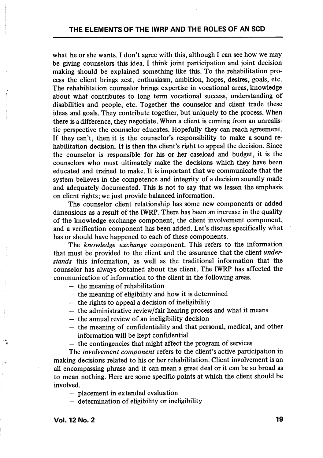## THE ELEMENTS OF THE IWRP AND THE ROLES OF AN SCO

what he or she wants. I don't agree with this, although I can see how we may be giving counselors this idea. I think joint participation and joint decision making should be explained something like this. To the rehabilitation pro cess the client brings zest, enthusiasm, ambition, hopes, desires, goals, etc. The rehabilitation counselor brings expertise in vocational areas, knowledge about what contributes to long term vocational success, understanding of disabilities and people, etc. Together the counselor and client trade these ideas and goals. They contribute together, but uniquely to the process. When there is a difference, they negotiate. When a client is coming from an unrealistic perspective the counselor educates. Hopefully they can reach agreement. If they can't, then it is the counselor's responsibility to make a sound rehabilitation decision. It is then the client's right to appeal the decision. Since the counselor is responsible for his or her caseload and budget, it is the counselors who must ultimately make the decisions which they have been educated and trained to make. It is important that we communicate that the system believes in the competence and integrity of a decision soundly made and adequately documented. This is not to say that we lessen the emphasis on client rights; we just provide balanced information.

The counselor client relationship has some new components or added dimensions as a result of the IWRP. There has been an increase in the quality of the knowledge exchange component, the client involvement component, and a verification component has been added. Let's discuss specifically what has or should have happened to each of these components.

The knowledge exchange component. This refers to the information that must be provided to the client and the assurance that the client understands this information, as well as the traditional information that the counselor has always obtained about the client. The IWRP has affected the communication of information to the client in the following areas.

- the meaning of rehabilitation
- the meaning of eligibility and how it is determined
- the rights to appeal a decision of ineligibility
- $-$  the administrative review/fair hearing process and what it means
- the annual review of an ineligibility decision
- the meaning of confidentiality and that personal, medical, and other information will be kept confidential
- the contingencies that might affect the program of services

The *involvement component* refers to the client's active participation in making decisions related to his or her rehabilitation. Client involvement is an all encompassing phrase and it can mean a great deal or it can be so broad as to mean nothing. Here are some specific points at which the client should be involved.

— placement in extended evaluation

 $-$  determination of eligibility or ineligibility

Vol. 12 No. 2 19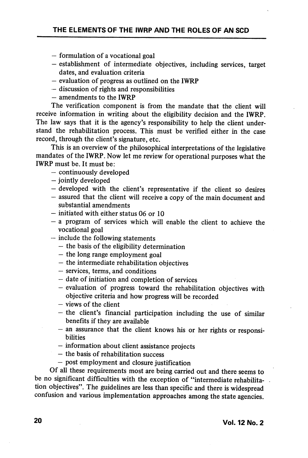- formulation of a vocational goal
- establishment of intermediate objectives, including services, target dates, and evaluation criteria
- evaluation of progress as outlined on the IWRP
- discussion of rights and responsibilities
- amendments to the IWRP

The verification component is from the mandate that the client will receive information in writing about the eligibility decision and the IWRP. The law says that it is the agency's responsibility to help the client understand the rehabilitation process. This must be verified either in the case record, through the client's signature, etc.

This is an overview of the philosophical interpretations of the legislative mandates of the IWRP. Now let me review for operational purposes what the IWRP must be. It must be:

- continuously developed
- jointly developed
- $-$  developed with the client's representative if the client so desires
- assured that the client will receive a copy of the main document and substantial amendments
- initiated with either status 06 or 10
- $-$  a program of services which will enable the client to achieve the vocational goal
- $-$  include the following statements
	- the basis of the ehgibility determination
	- the long range employment goal
	- the intermediate rehabihtation objectives
	- services, terms, and conditions
	- date of initiation and completion of services
	- evaluation of progress toward the rehabihtation objectives with objective criteria and how progress will be recorded
	- $-$  views of the client
	- $-$  the client's financial participation including the use of similar benefits if they are available
	- $-$  an assurance that the client knows his or her rights or responsi**bilities**
	- $-$  information about client assistance projects
	- the basis of rehabihtation success
	- post employment and closure justification

Of all these requirements most are being carried out and there seems to be no significant difficulties with the exception of "intermediate rehabilita tion objectives". The guidelines are less than specific and there is widespread confusion and various implementation approaches among the state agencies.